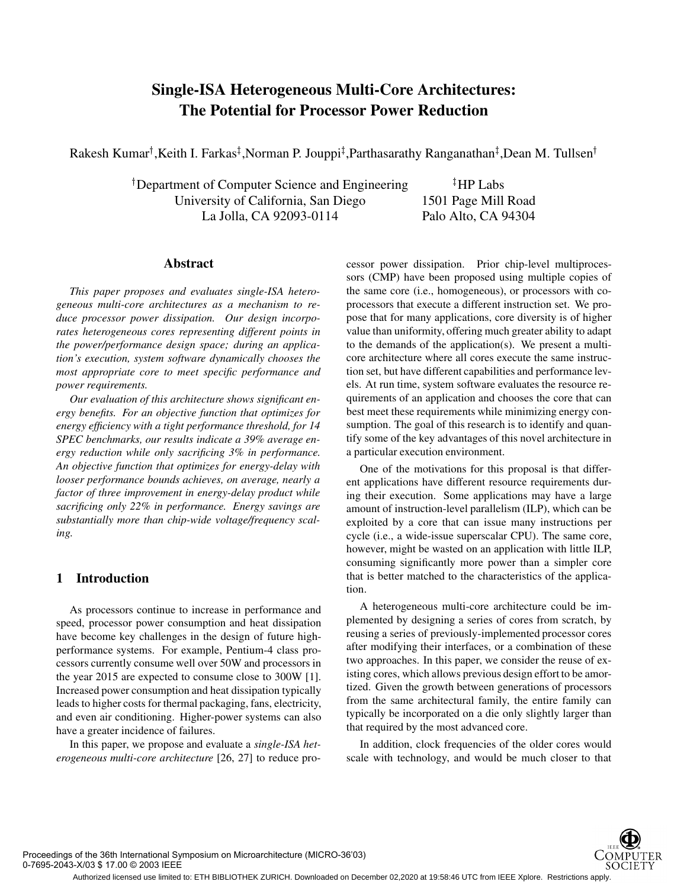# **Single-ISA Heterogeneous Multi-Core Architectures: The Potential for Processor Power Reduction**

Rakesh Kumar†,Keith I. Farkas‡,Norman P. Jouppi‡,Parthasarathy Ranganathan‡,Dean M. Tullsen†

<sup>†</sup>Department of Computer Science and Engineering  $\ddot{ }$  <sup>‡</sup>HP La University of California, San Diego 1501 Page Mill Road La Jolla, CA 92093-0114 Palo Alto, CA 94304

HP Labs

## **Abstract**

*This paper proposes and evaluates single-ISA heterogeneous multi-core architectures as a mechanism to reduce processor power dissipation. Our design incorporates heterogeneous cores representing different points in the power/performance design space; during an application's execution, system software dynamically chooses the most appropriate core to meet specific performance and power requirements.*

*Our evaluation of this architecture shows significant energy benefits. For an objective function that optimizes for energy efficiency with a tight performance threshold, for 14 SPEC benchmarks, our results indicate a 39% average energy reduction while only sacrificing 3% in performance. An objective function that optimizes for energy-delay with looser performance bounds achieves, on average, nearly a factor of three improvement in energy-delay product while sacrificing only 22% in performance. Energy savings are substantially more than chip-wide voltage/frequency scaling.*

## **1 Introduction**

As processors continue to increase in performance and speed, processor power consumption and heat dissipation have become key challenges in the design of future highperformance systems. For example, Pentium-4 class processors currently consume well over 50W and processors in the year 2015 are expected to consume close to 300W [1]. Increased power consumption and heat dissipation typically leads to higher costs for thermal packaging, fans, electricity, and even air conditioning. Higher-power systems can also have a greater incidence of failures.

In this paper, we propose and evaluate a *single-ISA heterogeneous multi-core architecture* [26, 27] to reduce processor power dissipation. Prior chip-level multiprocessors (CMP) have been proposed using multiple copies of the same core (i.e., homogeneous), or processors with coprocessors that execute a different instruction set. We propose that for many applications, core diversity is of higher value than uniformity, offering much greater ability to adapt to the demands of the application(s). We present a multicore architecture where all cores execute the same instruction set, but have different capabilities and performance levels. At run time, system software evaluates the resource requirements of an application and chooses the core that can best meet these requirements while minimizing energy consumption. The goal of this research is to identify and quantify some of the key advantages of this novel architecture in a particular execution environment.

One of the motivations for this proposal is that different applications have different resource requirements during their execution. Some applications may have a large amount of instruction-level parallelism (ILP), which can be exploited by a core that can issue many instructions per cycle (i.e., a wide-issue superscalar CPU). The same core, however, might be wasted on an application with little ILP, consuming significantly more power than a simpler core that is better matched to the characteristics of the application.

A heterogeneous multi-core architecture could be implemented by designing a series of cores from scratch, by reusing a series of previously-implemented processor cores after modifying their interfaces, or a combination of these two approaches. In this paper, we consider the reuse of existing cores, which allows previous design effort to be amortized. Given the growth between generations of processors from the same architectural family, the entire family can typically be incorporated on a die only slightly larger than that required by the most advanced core.

In addition, clock frequencies of the older cores would scale with technology, and would be much closer to that

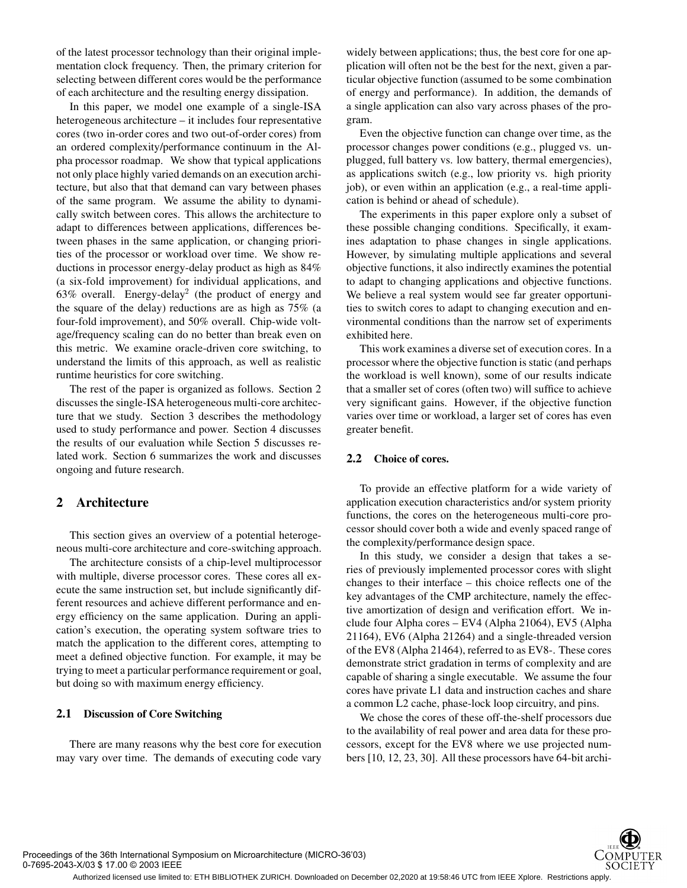of the latest processor technology than their original implementation clock frequency. Then, the primary criterion for selecting between different cores would be the performance of each architecture and the resulting energy dissipation.

In this paper, we model one example of a single-ISA heterogeneous architecture – it includes four representative cores (two in-order cores and two out-of-order cores) from an ordered complexity/performance continuum in the Alpha processor roadmap. We show that typical applications not only place highly varied demands on an execution architecture, but also that that demand can vary between phases of the same program. We assume the ability to dynamically switch between cores. This allows the architecture to adapt to differences between applications, differences between phases in the same application, or changing priorities of the processor or workload over time. We show reductions in processor energy-delay product as high as 84% (a six-fold improvement) for individual applications, and 63% overall. Energy-delay<sup>2</sup> (the product of energy and the square of the delay) reductions are as high as 75% (a four-fold improvement), and 50% overall. Chip-wide voltage/frequency scaling can do no better than break even on this metric. We examine oracle-driven core switching, to understand the limits of this approach, as well as realistic runtime heuristics for core switching.

The rest of the paper is organized as follows. Section 2 discusses the single-ISA heterogeneous multi-core architecture that we study. Section 3 describes the methodology used to study performance and power. Section 4 discusses the results of our evaluation while Section 5 discusses related work. Section 6 summarizes the work and discusses ongoing and future research.

# **2 Architecture**

This section gives an overview of a potential heterogeneous multi-core architecture and core-switching approach.

The architecture consists of a chip-level multiprocessor with multiple, diverse processor cores. These cores all execute the same instruction set, but include significantly different resources and achieve different performance and energy efficiency on the same application. During an application's execution, the operating system software tries to match the application to the different cores, attempting to meet a defined objective function. For example, it may be trying to meet a particular performance requirement or goal, but doing so with maximum energy efficiency.

### **2.1 Discussion of Core Switching**

There are many reasons why the best core for execution may vary over time. The demands of executing code vary

widely between applications; thus, the best core for one application will often not be the best for the next, given a particular objective function (assumed to be some combination of energy and performance). In addition, the demands of a single application can also vary across phases of the program.

Even the objective function can change over time, as the processor changes power conditions (e.g., plugged vs. unplugged, full battery vs. low battery, thermal emergencies), as applications switch (e.g., low priority vs. high priority job), or even within an application (e.g., a real-time application is behind or ahead of schedule).

The experiments in this paper explore only a subset of these possible changing conditions. Specifically, it examines adaptation to phase changes in single applications. However, by simulating multiple applications and several objective functions, it also indirectly examines the potential to adapt to changing applications and objective functions. We believe a real system would see far greater opportunities to switch cores to adapt to changing execution and environmental conditions than the narrow set of experiments exhibited here.

This work examines a diverse set of execution cores. In a processor where the objective function is static (and perhaps the workload is well known), some of our results indicate that a smaller set of cores (often two) will suffice to achieve very significant gains. However, if the objective function varies over time or workload, a larger set of cores has even greater benefit.

#### **2.2 Choice of cores.**

To provide an effective platform for a wide variety of application execution characteristics and/or system priority functions, the cores on the heterogeneous multi-core processor should cover both a wide and evenly spaced range of the complexity/performance design space.

In this study, we consider a design that takes a series of previously implemented processor cores with slight changes to their interface – this choice reflects one of the key advantages of the CMP architecture, namely the effective amortization of design and verification effort. We include four Alpha cores – EV4 (Alpha 21064), EV5 (Alpha 21164), EV6 (Alpha 21264) and a single-threaded version of the EV8 (Alpha 21464), referred to as EV8-. These cores demonstrate strict gradation in terms of complexity and are capable of sharing a single executable. We assume the four cores have private L1 data and instruction caches and share a common L2 cache, phase-lock loop circuitry, and pins.

We chose the cores of these off-the-shelf processors due to the availability of real power and area data for these processors, except for the EV8 where we use projected numbers [10, 12, 23, 30]. All these processors have 64-bit archi-

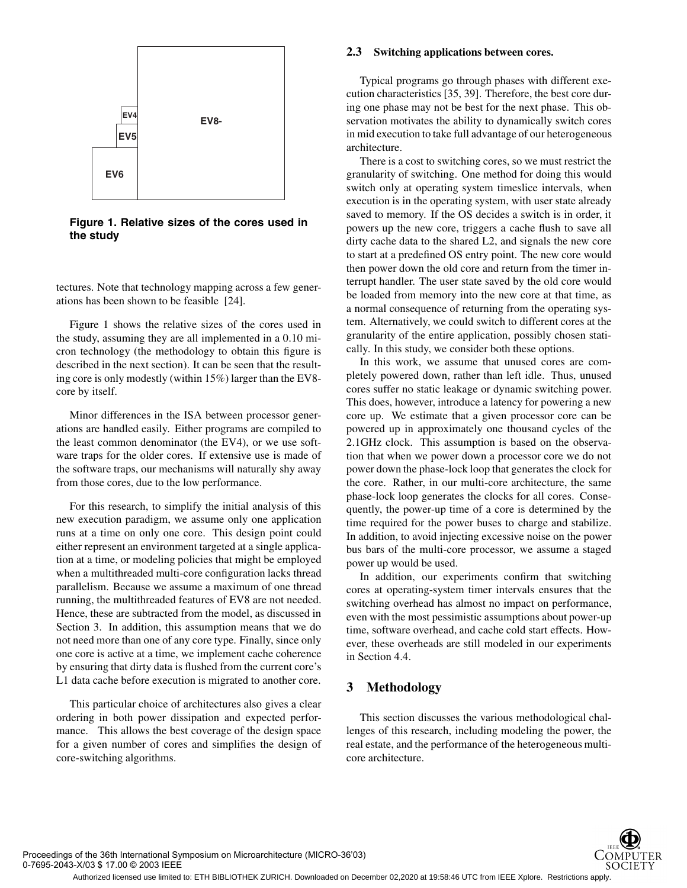

**Figure 1. Relative sizes of the cores used in the study**

tectures. Note that technology mapping across a few generations has been shown to be feasible [24].

Figure 1 shows the relative sizes of the cores used in the study, assuming they are all implemented in a 0.10 micron technology (the methodology to obtain this figure is described in the next section). It can be seen that the resulting core is only modestly (within 15%) larger than the EV8 core by itself.

Minor differences in the ISA between processor generations are handled easily. Either programs are compiled to the least common denominator (the EV4), or we use software traps for the older cores. If extensive use is made of the software traps, our mechanisms will naturally shy away from those cores, due to the low performance.

For this research, to simplify the initial analysis of this new execution paradigm, we assume only one application runs at a time on only one core. This design point could either represent an environment targeted at a single application at a time, or modeling policies that might be employed when a multithreaded multi-core configuration lacks thread parallelism. Because we assume a maximum of one thread running, the multithreaded features of EV8 are not needed. Hence, these are subtracted from the model, as discussed in Section 3. In addition, this assumption means that we do not need more than one of any core type. Finally, since only one core is active at a time, we implement cache coherence by ensuring that dirty data is flushed from the current core's L1 data cache before execution is migrated to another core.

This particular choice of architectures also gives a clear ordering in both power dissipation and expected performance. This allows the best coverage of the design space for a given number of cores and simplifies the design of core-switching algorithms.

#### **2.3 Switching applications between cores.**

Typical programs go through phases with different execution characteristics [35, 39]. Therefore, the best core during one phase may not be best for the next phase. This observation motivates the ability to dynamically switch cores in mid execution to take full advantage of our heterogeneous architecture.

There is a cost to switching cores, so we must restrict the granularity of switching. One method for doing this would switch only at operating system timeslice intervals, when execution is in the operating system, with user state already saved to memory. If the OS decides a switch is in order, it powers up the new core, triggers a cache flush to save all dirty cache data to the shared L2, and signals the new core to start at a predefined OS entry point. The new core would then power down the old core and return from the timer interrupt handler. The user state saved by the old core would be loaded from memory into the new core at that time, as a normal consequence of returning from the operating system. Alternatively, we could switch to different cores at the granularity of the entire application, possibly chosen statically. In this study, we consider both these options.

In this work, we assume that unused cores are completely powered down, rather than left idle. Thus, unused cores suffer no static leakage or dynamic switching power. This does, however, introduce a latency for powering a new core up. We estimate that a given processor core can be powered up in approximately one thousand cycles of the 2.1GHz clock. This assumption is based on the observation that when we power down a processor core we do not power down the phase-lock loop that generates the clock for the core. Rather, in our multi-core architecture, the same phase-lock loop generates the clocks for all cores. Consequently, the power-up time of a core is determined by the time required for the power buses to charge and stabilize. In addition, to avoid injecting excessive noise on the power bus bars of the multi-core processor, we assume a staged power up would be used.

In addition, our experiments confirm that switching cores at operating-system timer intervals ensures that the switching overhead has almost no impact on performance, even with the most pessimistic assumptions about power-up time, software overhead, and cache cold start effects. However, these overheads are still modeled in our experiments in Section 4.4.

# **3 Methodology**

This section discusses the various methodological challenges of this research, including modeling the power, the real estate, and the performance of the heterogeneous multicore architecture.

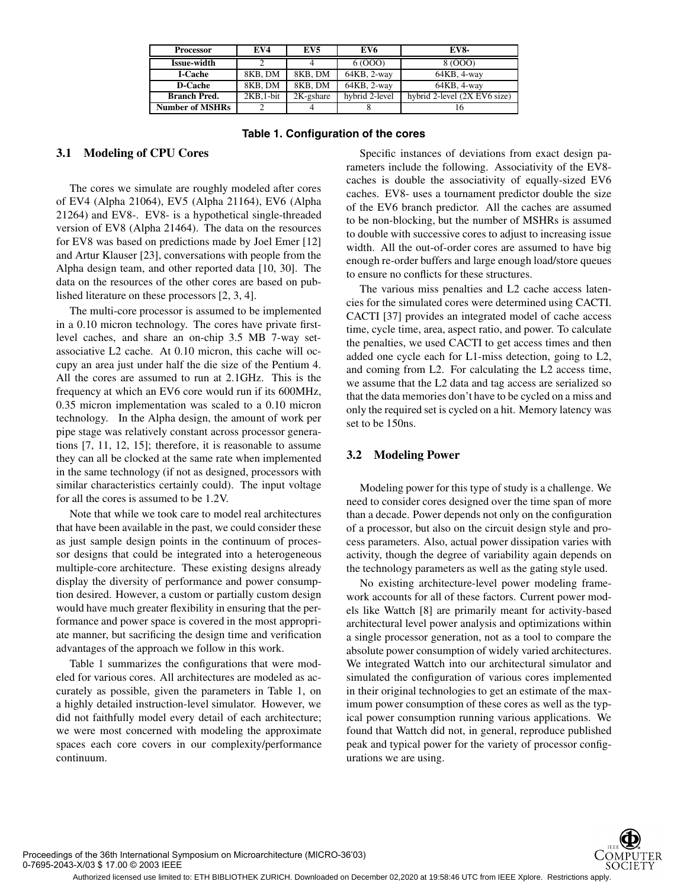| <b>Processor</b>       | EV4         | EV5          | EV6               | <b>EV8-</b>                  |
|------------------------|-------------|--------------|-------------------|------------------------------|
| <b>Issue-width</b>     |             |              | 6 (OOO)           | 8 (000)                      |
| <b>I-Cache</b>         | 8KB, DM     | 8KB, DM      | 64KB, 2-way       | 64KB, 4-way                  |
| <b>D-Cache</b>         | 8KB. DM     | 8KB, DM      | $64KB$ , $2$ -way | 64KB, 4-way                  |
| <b>Branch Pred.</b>    | $2KB.1-bit$ | $2K$ -gshare | hybrid 2-level    | hybrid 2-level (2X EV6 size) |
| <b>Number of MSHRs</b> |             |              |                   |                              |

#### **Table 1. Configuration of the cores**

#### **3.1 Modeling of CPU Cores**

The cores we simulate are roughly modeled after cores of EV4 (Alpha 21064), EV5 (Alpha 21164), EV6 (Alpha 21264) and EV8-. EV8- is a hypothetical single-threaded version of EV8 (Alpha 21464). The data on the resources for EV8 was based on predictions made by Joel Emer [12] and Artur Klauser [23], conversations with people from the Alpha design team, and other reported data [10, 30]. The data on the resources of the other cores are based on published literature on these processors [2, 3, 4].

The multi-core processor is assumed to be implemented in a 0.10 micron technology. The cores have private firstlevel caches, and share an on-chip 3.5 MB 7-way setassociative L2 cache. At 0.10 micron, this cache will occupy an area just under half the die size of the Pentium 4. All the cores are assumed to run at 2.1GHz. This is the frequency at which an EV6 core would run if its 600MHz, 0.35 micron implementation was scaled to a 0.10 micron technology. In the Alpha design, the amount of work per pipe stage was relatively constant across processor generations [7, 11, 12, 15]; therefore, it is reasonable to assume they can all be clocked at the same rate when implemented in the same technology (if not as designed, processors with similar characteristics certainly could). The input voltage for all the cores is assumed to be 1.2V.

Note that while we took care to model real architectures that have been available in the past, we could consider these as just sample design points in the continuum of processor designs that could be integrated into a heterogeneous multiple-core architecture. These existing designs already display the diversity of performance and power consumption desired. However, a custom or partially custom design would have much greater flexibility in ensuring that the performance and power space is covered in the most appropriate manner, but sacrificing the design time and verification advantages of the approach we follow in this work.

Table 1 summarizes the configurations that were modeled for various cores. All architectures are modeled as accurately as possible, given the parameters in Table 1, on a highly detailed instruction-level simulator. However, we did not faithfully model every detail of each architecture; we were most concerned with modeling the approximate spaces each core covers in our complexity/performance continuum.

Specific instances of deviations from exact design parameters include the following. Associativity of the EV8 caches is double the associativity of equally-sized EV6 caches. EV8- uses a tournament predictor double the size of the EV6 branch predictor. All the caches are assumed to be non-blocking, but the number of MSHRs is assumed to double with successive cores to adjust to increasing issue width. All the out-of-order cores are assumed to have big enough re-order buffers and large enough load/store queues to ensure no conflicts for these structures.

The various miss penalties and L2 cache access latencies for the simulated cores were determined using CACTI. CACTI [37] provides an integrated model of cache access time, cycle time, area, aspect ratio, and power. To calculate the penalties, we used CACTI to get access times and then added one cycle each for L1-miss detection, going to L2, and coming from L2. For calculating the L2 access time, we assume that the L2 data and tag access are serialized so that the data memories don't have to be cycled on a miss and only the required set is cycled on a hit. Memory latency was set to be 150ns.

### **3.2 Modeling Power**

Modeling power for this type of study is a challenge. We need to consider cores designed over the time span of more than a decade. Power depends not only on the configuration of a processor, but also on the circuit design style and process parameters. Also, actual power dissipation varies with activity, though the degree of variability again depends on the technology parameters as well as the gating style used.

No existing architecture-level power modeling framework accounts for all of these factors. Current power models like Wattch [8] are primarily meant for activity-based architectural level power analysis and optimizations within a single processor generation, not as a tool to compare the absolute power consumption of widely varied architectures. We integrated Wattch into our architectural simulator and simulated the configuration of various cores implemented in their original technologies to get an estimate of the maximum power consumption of these cores as well as the typical power consumption running various applications. We found that Wattch did not, in general, reproduce published peak and typical power for the variety of processor configurations we are using.

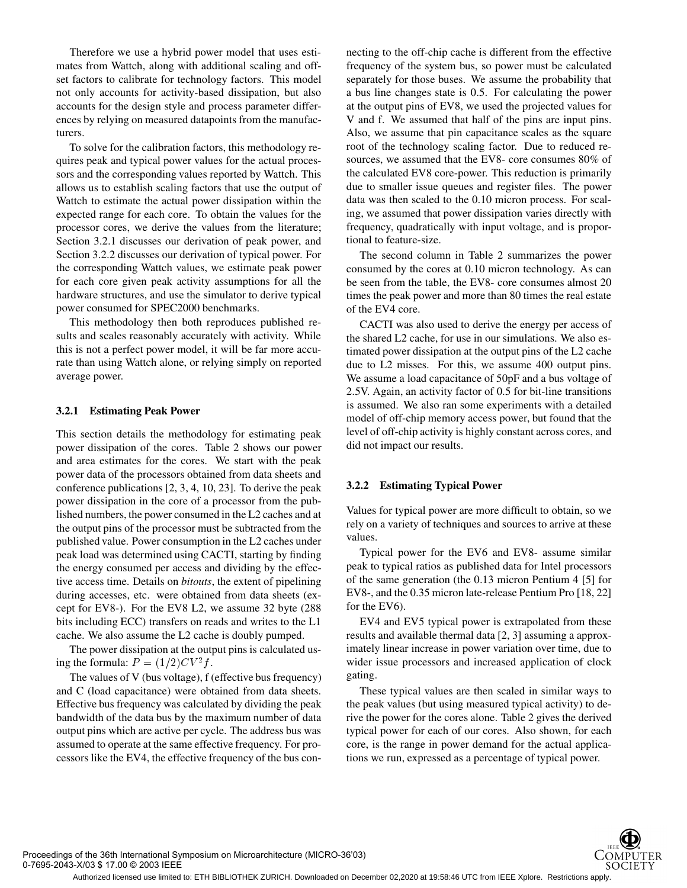Therefore we use a hybrid power model that uses estimates from Wattch, along with additional scaling and offset factors to calibrate for technology factors. This model not only accounts for activity-based dissipation, but also accounts for the design style and process parameter differences by relying on measured datapoints from the manufacturers.

To solve for the calibration factors, this methodology requires peak and typical power values for the actual processors and the corresponding values reported by Wattch. This allows us to establish scaling factors that use the output of Wattch to estimate the actual power dissipation within the expected range for each core. To obtain the values for the processor cores, we derive the values from the literature; Section 3.2.1 discusses our derivation of peak power, and Section 3.2.2 discusses our derivation of typical power. For the corresponding Wattch values, we estimate peak power for each core given peak activity assumptions for all the hardware structures, and use the simulator to derive typical power consumed for SPEC2000 benchmarks.

This methodology then both reproduces published results and scales reasonably accurately with activity. While this is not a perfect power model, it will be far more accurate than using Wattch alone, or relying simply on reported average power.

#### **3.2.1 Estimating Peak Power**

This section details the methodology for estimating peak power dissipation of the cores. Table 2 shows our power and area estimates for the cores. We start with the peak power data of the processors obtained from data sheets and conference publications [2, 3, 4, 10, 23]. To derive the peak power dissipation in the core of a processor from the published numbers, the power consumed in the L2 caches and at the output pins of the processor must be subtracted from the published value. Power consumption in the L2 caches under peak load was determined using CACTI, starting by finding the energy consumed per access and dividing by the effective access time. Details on *bitouts*, the extent of pipelining during accesses, etc. were obtained from data sheets (except for EV8-). For the EV8 L2, we assume 32 byte (288 bits including ECC) transfers on reads and writes to the L1 cache. We also assume the L2 cache is doubly pumped.

The power dissipation at the output pins is calculated using the formula:  $P = (1/2)CV^2f$ .

The values of V (bus voltage), f (effective bus frequency) and C (load capacitance) were obtained from data sheets. Effective bus frequency was calculated by dividing the peak bandwidth of the data bus by the maximum number of data output pins which are active per cycle. The address bus was assumed to operate at the same effective frequency. For processors like the EV4, the effective frequency of the bus connecting to the off-chip cache is different from the effective frequency of the system bus, so power must be calculated separately for those buses. We assume the probability that a bus line changes state is 0.5. For calculating the power at the output pins of EV8, we used the projected values for V and f. We assumed that half of the pins are input pins. Also, we assume that pin capacitance scales as the square root of the technology scaling factor. Due to reduced resources, we assumed that the EV8- core consumes 80% of the calculated EV8 core-power. This reduction is primarily due to smaller issue queues and register files. The power data was then scaled to the 0.10 micron process. For scaling, we assumed that power dissipation varies directly with frequency, quadratically with input voltage, and is proportional to feature-size.

The second column in Table 2 summarizes the power consumed by the cores at 0.10 micron technology. As can be seen from the table, the EV8- core consumes almost 20 times the peak power and more than 80 times the real estate of the EV4 core.

CACTI was also used to derive the energy per access of the shared L2 cache, for use in our simulations. We also estimated power dissipation at the output pins of the L2 cache due to L2 misses. For this, we assume 400 output pins. We assume a load capacitance of 50pF and a bus voltage of 2.5V. Again, an activity factor of 0.5 for bit-line transitions is assumed. We also ran some experiments with a detailed model of off-chip memory access power, but found that the level of off-chip activity is highly constant across cores, and did not impact our results.

#### **3.2.2 Estimating Typical Power**

Values for typical power are more difficult to obtain, so we rely on a variety of techniques and sources to arrive at these values.

Typical power for the EV6 and EV8- assume similar peak to typical ratios as published data for Intel processors of the same generation (the 0.13 micron Pentium 4 [5] for EV8-, and the 0.35 micron late-release Pentium Pro [18, 22] for the EV6).

EV4 and EV5 typical power is extrapolated from these results and available thermal data [2, 3] assuming a approximately linear increase in power variation over time, due to wider issue processors and increased application of clock gating.

These typical values are then scaled in similar ways to the peak values (but using measured typical activity) to derive the power for the cores alone. Table 2 gives the derived typical power for each of our cores. Also shown, for each core, is the range in power demand for the actual applications we run, expressed as a percentage of typical power.

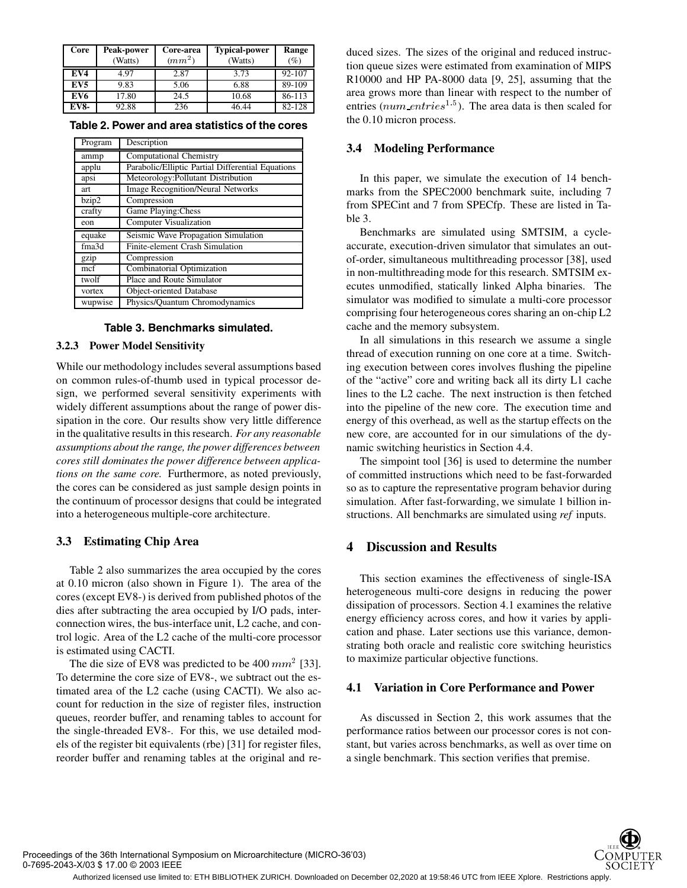| Core            | Peak-power<br>(Watts) | Core-area<br>(mm <sup>2</sup> ) | <b>Typical-power</b><br>(Watts) | Range<br>(%) |
|-----------------|-----------------------|---------------------------------|---------------------------------|--------------|
| EV4             | 4.97                  | 2.87                            | 3.73                            | 92-107       |
| EV <sub>5</sub> | 9.83                  | 5.06                            | 6.88                            | 89-109       |
| EV6             | 17.80                 | 24.5                            | 10.68                           | 86-113       |
| <b>EV8-</b>     | 92.88                 | 236                             | 46.44                           | 82-128       |

**Table 2. Power and area statistics of the cores**

| Program | Description                                       |
|---------|---------------------------------------------------|
| ammp    | <b>Computational Chemistry</b>                    |
| applu   | Parabolic/Elliptic Partial Differential Equations |
| apsi    | Meteorology: Pollutant Distribution               |
| art     | <b>Image Recognition/Neural Networks</b>          |
| bzip2   | Compression                                       |
| crafty  | Game Playing: Chess                               |
| eon     | <b>Computer Visualization</b>                     |
| equake  | Seismic Wave Propagation Simulation               |
| fma3d   | Finite-element Crash Simulation                   |
| gzip    | Compression                                       |
| mcf     | Combinatorial Optimization                        |
| twolf   | <b>Place and Route Simulator</b>                  |
| vortex  | <b>Object-oriented Database</b>                   |
| wupwise | Physics/Quantum Chromodynamics                    |

### **Table 3. Benchmarks simulated.**

#### **3.2.3 Power Model Sensitivity**

While our methodology includes several assumptions based on common rules-of-thumb used in typical processor design, we performed several sensitivity experiments with widely different assumptions about the range of power dissipation in the core. Our results show very little difference in the qualitative results in this research. *For any reasonable assumptions about the range, the power differences between cores still dominates the power difference between applications on the same core.* Furthermore, as noted previously, the cores can be considered as just sample design points in the continuum of processor designs that could be integrated into a heterogeneous multiple-core architecture.

# **3.3 Estimating Chip Area**

Table 2 also summarizes the area occupied by the cores at 0.10 micron (also shown in Figure 1). The area of the cores (except EV8-) is derived from published photos of the dies after subtracting the area occupied by I/O pads, interconnection wires, the bus-interface unit, L2 cache, and control logic. Area of the L2 cache of the multi-core processor is estimated using CACTI.

The die size of EV8 was predicted to be 400  $mm^2$  [33]. To determine the core size of EV8-, we subtract out the estimated area of the L2 cache (using CACTI). We also account for reduction in the size of register files, instruction queues, reorder buffer, and renaming tables to account for the single-threaded EV8-. For this, we use detailed models of the register bit equivalents (rbe) [31] for register files, reorder buffer and renaming tables at the original and reduced sizes. The sizes of the original and reduced instruction queue sizes were estimated from examination of MIPS R10000 and HP PA-8000 data [9, 25], assuming that the area grows more than linear with respect to the number of entries  $(num\_entries^{1.5})$ . The area data is then scaled for the 0.10 micron process.

## **3.4 Modeling Performance**

In this paper, we simulate the execution of 14 benchmarks from the SPEC2000 benchmark suite, including 7 from SPECint and 7 from SPECfp. These are listed in Table 3.

Benchmarks are simulated using SMTSIM, a cycleaccurate, execution-driven simulator that simulates an outof-order, simultaneous multithreading processor [38], used in non-multithreading mode for this research. SMTSIM executes unmodified, statically linked Alpha binaries. The simulator was modified to simulate a multi-core processor comprising four heterogeneous cores sharing an on-chip L2 cache and the memory subsystem.

In all simulations in this research we assume a single thread of execution running on one core at a time. Switching execution between cores involves flushing the pipeline of the "active" core and writing back all its dirty L1 cache lines to the L2 cache. The next instruction is then fetched into the pipeline of the new core. The execution time and energy of this overhead, as well as the startup effects on the new core, are accounted for in our simulations of the dynamic switching heuristics in Section 4.4.

The simpoint tool [36] is used to determine the number of committed instructions which need to be fast-forwarded so as to capture the representative program behavior during simulation. After fast-forwarding, we simulate 1 billion instructions. All benchmarks are simulated using *ref* inputs.

### **4 Discussion and Results**

This section examines the effectiveness of single-ISA heterogeneous multi-core designs in reducing the power dissipation of processors. Section 4.1 examines the relative energy efficiency across cores, and how it varies by application and phase. Later sections use this variance, demonstrating both oracle and realistic core switching heuristics to maximize particular objective functions.

## **4.1 Variation in Core Performance and Power**

As discussed in Section 2, this work assumes that the performance ratios between our processor cores is not constant, but varies across benchmarks, as well as over time on a single benchmark. This section verifies that premise.



Proceedings of the 36th International Symposium on Microarchitecture (MICRO-36'03) 0-7695-2043-X/03 \$ 17.00 © 2003 IEEE

Authorized licensed use limited to: ETH BIBLIOTHEK ZURICH. Downloaded on December 02,2020 at 19:58:46 UTC from IEEE Xplore. Restrictions apply.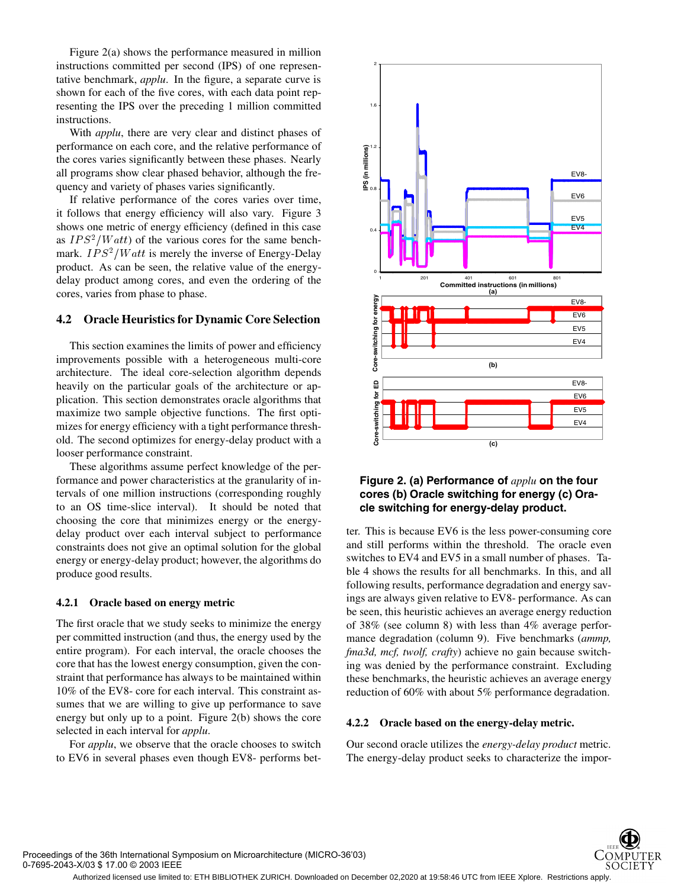Figure 2(a) shows the performance measured in million instructions committed per second (IPS) of one representative benchmark, *applu*. In the figure, a separate curve is shown for each of the five cores, with each data point representing the IPS over the preceding 1 million committed instructions.

With *applu*, there are very clear and distinct phases of performance on each core, and the relative performance of the cores varies significantly between these phases. Nearly all programs show clear phased behavior, although the frequency and variety of phases varies significantly.

If relative performance of the cores varies over time, it follows that energy efficiency will also vary. Figure 3 shows one metric of energy efficiency (defined in this case as  $IPS^2/Watt$  of the various cores for the same benchmark.  $IPS^2/Watt$  is merely the inverse of Energy-Delay product. As can be seen, the relative value of the energydelay product among cores, and even the ordering of the cores, varies from phase to phase.

## **4.2 Oracle Heuristics for Dynamic Core Selection**

This section examines the limits of power and efficiency improvements possible with a heterogeneous multi-core architecture. The ideal core-selection algorithm depends heavily on the particular goals of the architecture or application. This section demonstrates oracle algorithms that maximize two sample objective functions. The first optimizes for energy efficiency with a tight performance threshold. The second optimizes for energy-delay product with a looser performance constraint.

These algorithms assume perfect knowledge of the performance and power characteristics at the granularity of intervals of one million instructions (corresponding roughly to an OS time-slice interval). It should be noted that choosing the core that minimizes energy or the energydelay product over each interval subject to performance constraints does not give an optimal solution for the global energy or energy-delay product; however, the algorithms do produce good results.

#### **4.2.1 Oracle based on energy metric**

The first oracle that we study seeks to minimize the energy per committed instruction (and thus, the energy used by the entire program). For each interval, the oracle chooses the core that has the lowest energy consumption, given the constraint that performance has always to be maintained within 10% of the EV8- core for each interval. This constraint assumes that we are willing to give up performance to save energy but only up to a point. Figure 2(b) shows the core selected in each interval for *applu*.

For *applu*, we observe that the oracle chooses to switch to EV6 in several phases even though EV8- performs bet-



# **Figure 2. (a) Performance of** *applu* **on the four cores (b) Oracle switching for energy (c) Oracle switching for energy-delay product.**

ter. This is because EV6 is the less power-consuming core and still performs within the threshold. The oracle even switches to EV4 and EV5 in a small number of phases. Table 4 shows the results for all benchmarks. In this, and all following results, performance degradation and energy savings are always given relative to EV8- performance. As can be seen, this heuristic achieves an average energy reduction of 38% (see column 8) with less than 4% average performance degradation (column 9). Five benchmarks (*ammp, fma3d, mcf, twolf, crafty*) achieve no gain because switching was denied by the performance constraint. Excluding these benchmarks, the heuristic achieves an average energy reduction of 60% with about 5% performance degradation.

#### **4.2.2 Oracle based on the energy-delay metric.**

Our second oracle utilizes the *energy-delay product* metric. The energy-delay product seeks to characterize the impor-

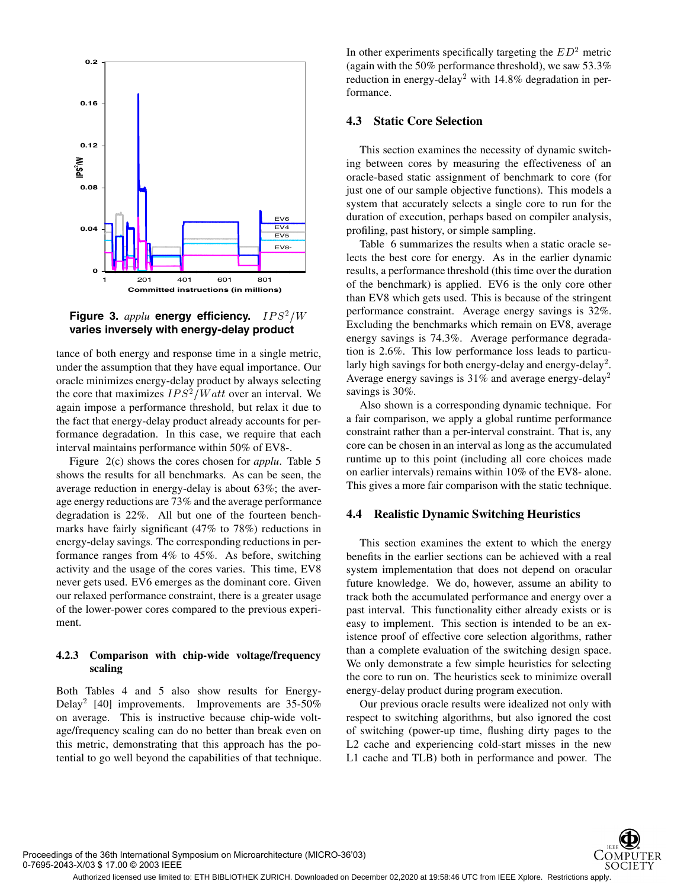

## **Figure 3.** *applu* **energy efficiency.**  $IPS^2/W$  **Periodi varies inversely with energy-delay product**

tance of both energy and response time in a single metric, under the assumption that they have equal importance. Our oracle minimizes energy-delay product by always selecting the core that maximizes  $IPS^2/Watt$  over an interval. We again impose a performance threshold, but relax it due to the fact that energy-delay product already accounts for performance degradation. In this case, we require that each interval maintains performance within 50% of EV8-.

Figure 2(c) shows the cores chosen for *applu*. Table 5 shows the results for all benchmarks. As can be seen, the average reduction in energy-delay is about 63%; the average energy reductions are 73% and the average performance degradation is 22%. All but one of the fourteen benchmarks have fairly significant (47% to 78%) reductions in energy-delay savings. The corresponding reductions in performance ranges from 4% to 45%. As before, switching activity and the usage of the cores varies. This time, EV8 never gets used. EV6 emerges as the dominant core. Given our relaxed performance constraint, there is a greater usage of the lower-power cores compared to the previous experiment.

# **4.2.3 Comparison with chip-wide voltage/frequency scaling**

Both Tables 4 and 5 also show results for Energy-Delay<sup>2</sup> [40] improvements. Improvements are 35-50% on average. This is instructive because chip-wide voltage/frequency scaling can do no better than break even on this metric, demonstrating that this approach has the potential to go well beyond the capabilities of that technique.

In other experiments specifically targeting the  $ED<sup>2</sup>$  metric (again with the 50% performance threshold), we saw 53.3% reduction in energy-delay<sup>2</sup> with  $14.8\%$  degradation in performance.

# **4.3 Static Core Selection**

This section examines the necessity of dynamic switching between cores by measuring the effectiveness of an oracle-based static assignment of benchmark to core (for just one of our sample objective functions). This models a system that accurately selects a single core to run for the duration of execution, perhaps based on compiler analysis, profiling, past history, or simple sampling.

Table 6 summarizes the results when a static oracle selects the best core for energy. As in the earlier dynamic results, a performance threshold (this time over the duration of the benchmark) is applied. EV6 is the only core other than EV8 which gets used. This is because of the stringent performance constraint. Average energy savings is 32%. Excluding the benchmarks which remain on EV8, average energy savings is 74.3%. Average performance degradation is 2.6%. This low performance loss leads to particularly high savings for both energy-delay and energy-delay . Average energy savings is 31% and average energy-delay savings is 30%.

Also shown is a corresponding dynamic technique. For a fair comparison, we apply a global runtime performance constraint rather than a per-interval constraint. That is, any core can be chosen in an interval as long as the accumulated runtime up to this point (including all core choices made on earlier intervals) remains within 10% of the EV8- alone. This gives a more fair comparison with the static technique.

# **4.4 Realistic Dynamic Switching Heuristics**

This section examines the extent to which the energy benefits in the earlier sections can be achieved with a real system implementation that does not depend on oracular future knowledge. We do, however, assume an ability to track both the accumulated performance and energy over a past interval. This functionality either already exists or is easy to implement. This section is intended to be an existence proof of effective core selection algorithms, rather than a complete evaluation of the switching design space. We only demonstrate a few simple heuristics for selecting the core to run on. The heuristics seek to minimize overall energy-delay product during program execution.

Our previous oracle results were idealized not only with respect to switching algorithms, but also ignored the cost of switching (power-up time, flushing dirty pages to the L2 cache and experiencing cold-start misses in the new L1 cache and TLB) both in performance and power. The

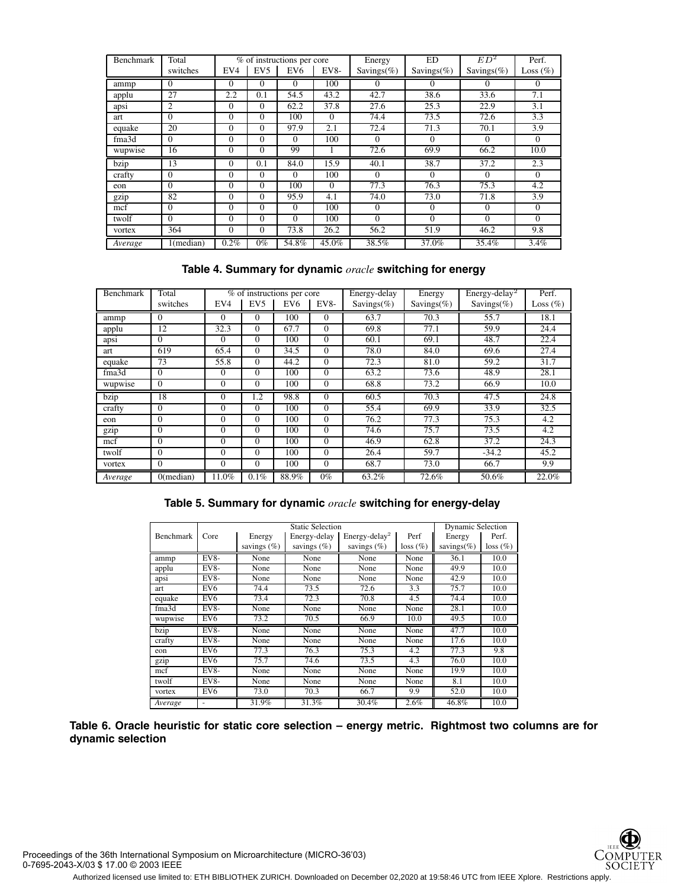| <b>Benchmark</b> | Total          |              |                 | % of instructions per core |             | Energy     | ED.        | ED <sup>2</sup> | Perf.        |
|------------------|----------------|--------------|-----------------|----------------------------|-------------|------------|------------|-----------------|--------------|
|                  | switches       | EV4          | EV <sub>5</sub> | EV <sub>6</sub>            | <b>EV8-</b> | Savings(%) | Savings(%) | Savings(%)      | Loss $(\% )$ |
| ammp             | $\Omega$       | $\Omega$     | 0               | 0                          | 100         | $\Omega$   | 0          | $\Omega$        | $\Omega$     |
| applu            | 27             | 2.2          | 0.1             | 54.5                       | 43.2        | 42.7       | 38.6       | 33.6            | 7.1          |
| apsi             | $\overline{c}$ | $\Omega$     | $\Omega$        | 62.2                       | 37.8        | 27.6       | 25.3       | 22.9            | 3.1          |
| art              | $\Omega$       | $\Omega$     | $\Omega$        | 100                        | $\Omega$    | 74.4       | 73.5       | 72.6            | 3.3          |
| equake           | 20             | $\Omega$     | 0               | 97.9                       | 2.1         | 72.4       | 71.3       | 70.1            | 3.9          |
| fma3d            | $\Omega$       | $\Omega$     | $\theta$        | $\Omega$                   | 100         | $\Omega$   | $\Omega$   | $\Omega$        | $\Omega$     |
| wupwise          | 16             | $\Omega$     | $\Omega$        | 99                         |             | 72.6       | 69.9       | 66.2            | 10.0         |
| bzip             | 13             | $\Omega$     | 0.1             | 84.0                       | 15.9        | 40.1       | 38.7       | 37.2            | 2.3          |
| crafty           | $\Omega$       | $\Omega$     | $\Omega$        | $\Omega$                   | 100         | $\Omega$   | $\Omega$   | $\Omega$        | $\Omega$     |
| eon              | $\Omega$       | $\Omega$     | 0               | 100                        | $\Omega$    | 77.3       | 76.3       | 75.3            | 4.2          |
| gzip             | 82             | $\Omega$     | $\theta$        | 95.9                       | 4.1         | 74.0       | 73.0       | 71.8            | 3.9          |
| mcf              | $\Omega$       | $\theta$     | $\Omega$        | $\Omega$                   | 100         | $\Omega$   | $\Omega$   | $\Omega$        | $\Omega$     |
| twolf            | $\Omega$       | $\mathbf{0}$ | $\Omega$        | $\Omega$                   | 100         | $\theta$   | $\Omega$   | $\theta$        | $\Omega$     |
| vortex           | 364            | $\Omega$     | $\theta$        | 73.8                       | 26.2        | 56.2       | 51.9       | 46.2            | 9.8          |
| Average          | $1$ (median)   | 0.2%         | $0\%$           | 54.8%                      | 45.0%       | 38.5%      | 37.0%      | 35.4%           | 3.4%         |

# **Table 4. Summary for dynamic** *oracle* **switching for energy**

| <b>Benchmark</b> | Total        | % of instructions per core |                 | Energy-delay    | Energy   | $Energy-delay2$ | Perf.      |            |              |
|------------------|--------------|----------------------------|-----------------|-----------------|----------|-----------------|------------|------------|--------------|
|                  | switches     | EV4                        | EV <sub>5</sub> | EV <sub>6</sub> | EV8-     | Savings(%)      | Savings(%) | Savings(%) | Loss $(\% )$ |
| ammp             | $\Omega$     | $\theta$                   | $\Omega$        | 100             | $\Omega$ | 63.7            | 70.3       | 55.7       | 18.1         |
| applu            | 12           | 32.3                       | $\Omega$        | 67.7            | $\Omega$ | 69.8            | 77.1       | 59.9       | 24.4         |
| apsi             | $\Omega$     | $\theta$                   | $\Omega$        | 100             | $\Omega$ | 60.1            | 69.1       | 48.7       | 22.4         |
| art              | 619          | 65.4                       | $\Omega$        | 34.5            | $\Omega$ | 78.0            | 84.0       | 69.6       | 27.4         |
| equake           | 73           | 55.8                       | $\Omega$        | 44.2            | $\Omega$ | 72.3            | 81.0       | 59.2       | 31.7         |
| fma3d            | 0            | $\Omega$                   | $\Omega$        | 100             | $\Omega$ | 63.2            | 73.6       | 48.9       | 28.1         |
| wupwise          | $\theta$     | $\Omega$                   | $\Omega$        | 100             | $\Omega$ | 68.8            | 73.2       | 66.9       | 10.0         |
| bzip             | 18           | $\theta$                   | 1.2             | 98.8            | $\Omega$ | 60.5            | 70.3       | 47.5       | 24.8         |
| crafty           | $\Omega$     | $\theta$                   | $\Omega$        | 100             | $\Omega$ | 55.4            | 69.9       | 33.9       | 32.5         |
| eon              | $\theta$     | $\theta$                   | $\Omega$        | 100             | $\Omega$ | 76.2            | 77.3       | 75.3       | 4.2          |
| gzip             | $\Omega$     | $\theta$                   | $\Omega$        | 100             | $\theta$ | 74.6            | 75.7       | 73.5       | 4.2          |
| mcf              | $\Omega$     | $\theta$                   | $\Omega$        | 100             | $\Omega$ | 46.9            | 62.8       | 37.2       | 24.3         |
| twolf            | $\Omega$     | $\theta$                   | $\Omega$        | 100             | $\Omega$ | 26.4            | 59.7       | $-34.2$    | 45.2         |
| vortex           | 0            | $\theta$                   | $\theta$        | 100             | $\Omega$ | 68.7            | 73.0       | 66.7       | 9.9          |
| Average          | $0$ (median) | 11.0%                      | 0.1%            | 88.9%           | $0\%$    | 63.2%           | 72.6%      | 50.6%      | 22.0%        |

# **Table 5. Summary for dynamic** *oracle* **switching for energy-delay**

|           |                 |                | <b>Dynamic Selection</b> |                           |             |            |             |
|-----------|-----------------|----------------|--------------------------|---------------------------|-------------|------------|-------------|
| Benchmark | Core            | Energy         | Energy-delay             | Energy-delay <sup>2</sup> | Perf        | Energy     | Perf.       |
|           |                 | savings $(\%)$ | savings $(\%)$           | savings $(\%)$            | $loss (\%)$ | savings(%) | $loss (\%)$ |
| ammp      | EV8-            | None           | None                     | None                      | None        | 36.1       | 10.0        |
| applu     | EV8-            | None           | None                     | None                      | None        | 49.9       | 10.0        |
| apsi      | EV8-            | None           | None                     | None                      | None        | 42.9       | 10.0        |
| art       | EV <sub>6</sub> | 74.4           | 73.5                     | 72.6                      | 3.3         | 75.7       | 10.0        |
| equake    | EV <sub>6</sub> | 73.4           | 72.3                     | 70.8                      | 4.5         | 74.4       | 10.0        |
| fma3d     | EV8-            | None           | None                     | None                      | None        | 28.1       | 10.0        |
| wupwise   | EV <sub>6</sub> | 73.2           | 70.5                     | 66.9                      | 10.0        | 49.5       | 10.0        |
| bzip      | EV8-            | None           | None                     | None                      | None        | 47.7       | 10.0        |
| crafty    | EV8-            | None           | None                     | None                      | None        | 17.6       | 10.0        |
| eon       | EV <sub>6</sub> | 77.3           | 76.3                     | 75.3                      | 4.2         | 77.3       | 9.8         |
| gzip      | EV <sub>6</sub> | 75.7           | 74.6                     | 73.5                      | 4.3         | 76.0       | 10.0        |
| mcf       | EV8-            | None           | None                     | None                      | None        | 19.9       | 10.0        |
| twolf     | EV8-            | None           | None                     | None                      | None        | 8.1        | 10.0        |
| vortex    | EV <sub>6</sub> | 73.0           | 70.3                     | 66.7                      | 9.9         | 52.0       | 10.0        |
| Average   |                 | 31.9%          | 31.3%                    | 30.4%                     | 2.6%        | 46.8%      | 10.0        |

**Table 6. Oracle heuristic for static core selection – energy metric. Rightmost two columns are for dynamic selection**

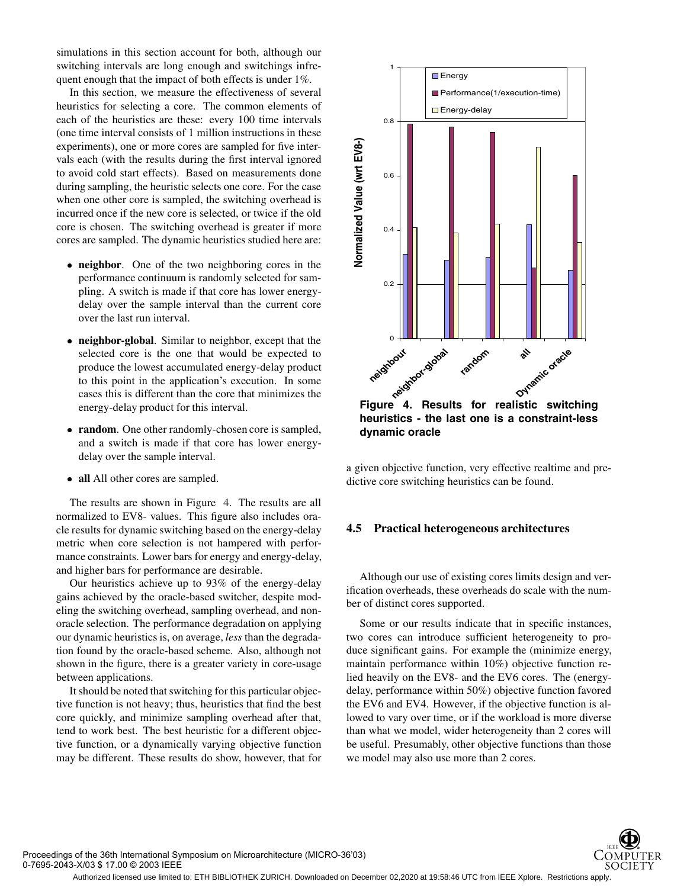simulations in this section account for both, although our switching intervals are long enough and switchings infrequent enough that the impact of both effects is under 1%.

In this section, we measure the effectiveness of several heuristics for selecting a core. The common elements of each of the heuristics are these: every 100 time intervals (one time interval consists of 1 million instructions in these experiments), one or more cores are sampled for five intervals each (with the results during the first interval ignored to avoid cold start effects). Based on measurements done during sampling, the heuristic selects one core. For the case when one other core is sampled, the switching overhead is incurred once if the new core is selected, or twice if the old core is chosen. The switching overhead is greater if more cores are sampled. The dynamic heuristics studied here are:

- **neighbor**. One of the two neighboring cores in the performance continuum is randomly selected for sampling. A switch is made if that core has lower energydelay over the sample interval than the current core over the last run interval.
- **neighbor-global**. Similar to neighbor, except that the selected core is the one that would be expected to produce the lowest accumulated energy-delay product to this point in the application's execution. In some cases this is different than the core that minimizes the energy-delay product for this interval.
- **random**. One other randomly-chosen core is sampled, and a switch is made if that core has lower energydelay over the sample interval.
- **all** All other cores are sampled.

The results are shown in Figure 4. The results are all normalized to EV8- values. This figure also includes oracle results for dynamic switching based on the energy-delay metric when core selection is not hampered with performance constraints. Lower bars for energy and energy-delay, and higher bars for performance are desirable.

Our heuristics achieve up to 93% of the energy-delay gains achieved by the oracle-based switcher, despite modeling the switching overhead, sampling overhead, and nonoracle selection. The performance degradation on applying our dynamic heuristics is, on average, *less* than the degradation found by the oracle-based scheme. Also, although not shown in the figure, there is a greater variety in core-usage between applications.

It should be noted that switching for this particular objective function is not heavy; thus, heuristics that find the best core quickly, and minimize sampling overhead after that, tend to work best. The best heuristic for a different objective function, or a dynamically varying objective function may be different. These results do show, however, that for



**heuristics - the last one is a constraint-less dynamic oracle**

a given objective function, very effective realtime and predictive core switching heuristics can be found.

## **4.5 Practical heterogeneous architectures**

Although our use of existing cores limits design and verification overheads, these overheads do scale with the number of distinct cores supported.

Some or our results indicate that in specific instances, two cores can introduce sufficient heterogeneity to produce significant gains. For example the (minimize energy, maintain performance within 10%) objective function relied heavily on the EV8- and the EV6 cores. The (energydelay, performance within 50%) objective function favored the EV6 and EV4. However, if the objective function is allowed to vary over time, or if the workload is more diverse than what we model, wider heterogeneity than 2 cores will be useful. Presumably, other objective functions than those we model may also use more than 2 cores.

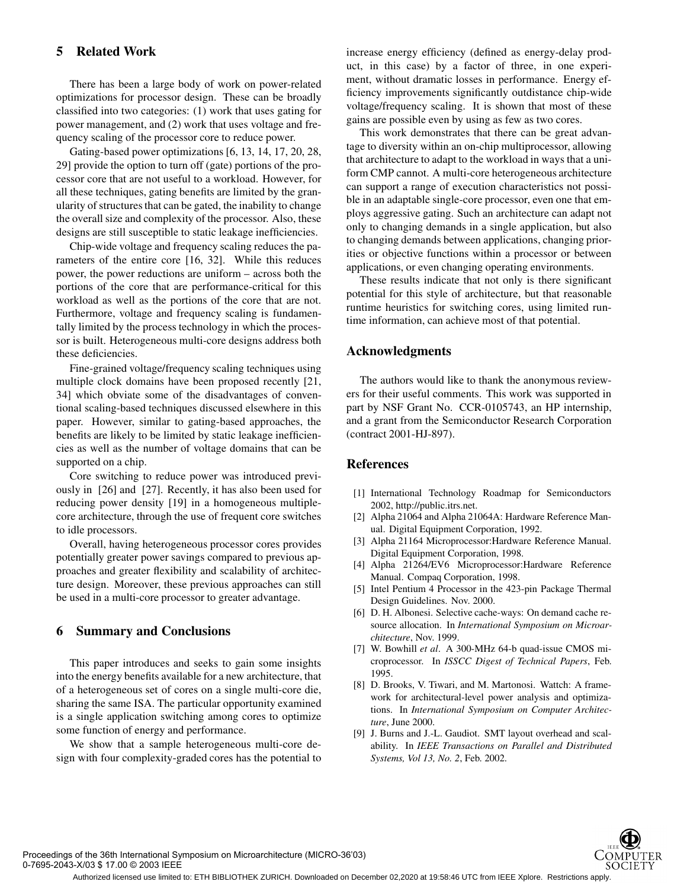# **5 Related Work**

There has been a large body of work on power-related optimizations for processor design. These can be broadly classified into two categories: (1) work that uses gating for power management, and (2) work that uses voltage and frequency scaling of the processor core to reduce power.

Gating-based power optimizations [6, 13, 14, 17, 20, 28, 29] provide the option to turn off (gate) portions of the processor core that are not useful to a workload. However, for all these techniques, gating benefits are limited by the granularity of structures that can be gated, the inability to change the overall size and complexity of the processor. Also, these designs are still susceptible to static leakage inefficiencies.

Chip-wide voltage and frequency scaling reduces the parameters of the entire core [16, 32]. While this reduces power, the power reductions are uniform – across both the portions of the core that are performance-critical for this workload as well as the portions of the core that are not. Furthermore, voltage and frequency scaling is fundamentally limited by the process technology in which the processor is built. Heterogeneous multi-core designs address both these deficiencies.

Fine-grained voltage/frequency scaling techniques using multiple clock domains have been proposed recently [21, 34] which obviate some of the disadvantages of conventional scaling-based techniques discussed elsewhere in this paper. However, similar to gating-based approaches, the benefits are likely to be limited by static leakage inefficiencies as well as the number of voltage domains that can be supported on a chip.

Core switching to reduce power was introduced previously in [26] and [27]. Recently, it has also been used for reducing power density [19] in a homogeneous multiplecore architecture, through the use of frequent core switches to idle processors.

Overall, having heterogeneous processor cores provides potentially greater power savings compared to previous approaches and greater flexibility and scalability of architecture design. Moreover, these previous approaches can still be used in a multi-core processor to greater advantage.

### **6 Summary and Conclusions**

This paper introduces and seeks to gain some insights into the energy benefits available for a new architecture, that of a heterogeneous set of cores on a single multi-core die, sharing the same ISA. The particular opportunity examined is a single application switching among cores to optimize some function of energy and performance.

We show that a sample heterogeneous multi-core design with four complexity-graded cores has the potential to increase energy efficiency (defined as energy-delay product, in this case) by a factor of three, in one experiment, without dramatic losses in performance. Energy efficiency improvements significantly outdistance chip-wide voltage/frequency scaling. It is shown that most of these gains are possible even by using as few as two cores.

This work demonstrates that there can be great advantage to diversity within an on-chip multiprocessor, allowing that architecture to adapt to the workload in ways that a uniform CMP cannot. A multi-core heterogeneous architecture can support a range of execution characteristics not possible in an adaptable single-core processor, even one that employs aggressive gating. Such an architecture can adapt not only to changing demands in a single application, but also to changing demands between applications, changing priorities or objective functions within a processor or between applications, or even changing operating environments.

These results indicate that not only is there significant potential for this style of architecture, but that reasonable runtime heuristics for switching cores, using limited runtime information, can achieve most of that potential.

# **Acknowledgments**

The authors would like to thank the anonymous reviewers for their useful comments. This work was supported in part by NSF Grant No. CCR-0105743, an HP internship, and a grant from the Semiconductor Research Corporation (contract 2001-HJ-897).

## **References**

- [1] International Technology Roadmap for Semiconductors 2002, http://public.itrs.net.
- [2] Alpha 21064 and Alpha 21064A: Hardware Reference Manual. Digital Equipment Corporation, 1992.
- [3] Alpha 21164 Microprocessor:Hardware Reference Manual. Digital Equipment Corporation, 1998.
- [4] Alpha 21264/EV6 Microprocessor:Hardware Reference Manual. Compaq Corporation, 1998.
- [5] Intel Pentium 4 Processor in the 423-pin Package Thermal Design Guidelines. Nov. 2000.
- [6] D. H. Albonesi. Selective cache-ways: On demand cache resource allocation. In *International Symposium on Microarchitecture*, Nov. 1999.
- [7] W. Bowhill *et al*. A 300-MHz 64-b quad-issue CMOS microprocessor. In *ISSCC Digest of Technical Papers*, Feb. 1995.
- [8] D. Brooks, V. Tiwari, and M. Martonosi. Wattch: A framework for architectural-level power analysis and optimizations. In *International Symposium on Computer Architecture*, June 2000.
- [9] J. Burns and J.-L. Gaudiot. SMT layout overhead and scalability. In *IEEE Transactions on Parallel and Distributed Systems, Vol 13, No. 2*, Feb. 2002.